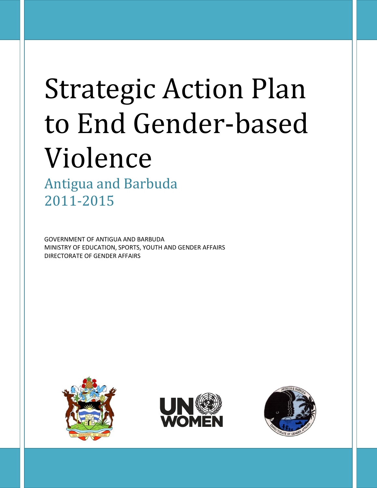# Strategic Action Plan to End Gender-based Violence

Antigua and Barbuda 2011-2015

GOVERNMENT OF ANTIGUA AND BARBUDA MINISTRY OF EDUCATION, SPORTS, YOUTH AND GENDER AFFAIRS DIRECTORATE OF GENDER AFFAIRS





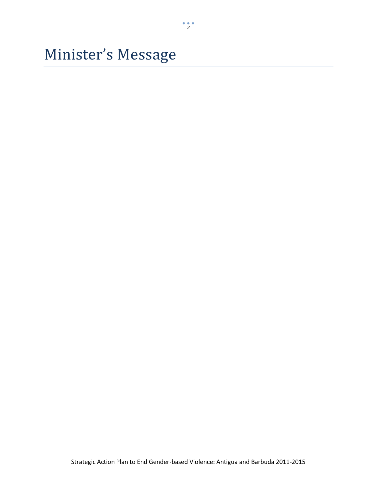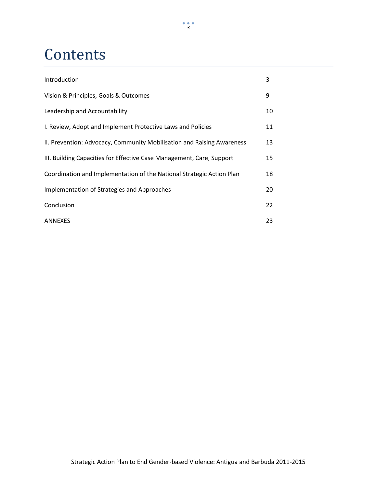## **Contents**

| Introduction                                                           | 3  |
|------------------------------------------------------------------------|----|
| Vision & Principles, Goals & Outcomes                                  | 9  |
| Leadership and Accountability                                          | 10 |
| I. Review, Adopt and Implement Protective Laws and Policies            | 11 |
| II. Prevention: Advocacy, Community Mobilisation and Raising Awareness | 13 |
| III. Building Capacities for Effective Case Management, Care, Support  | 15 |
| Coordination and Implementation of the National Strategic Action Plan  | 18 |
| Implementation of Strategies and Approaches                            | 20 |
| Conclusion                                                             | 22 |
| <b>ANNEXES</b>                                                         | 23 |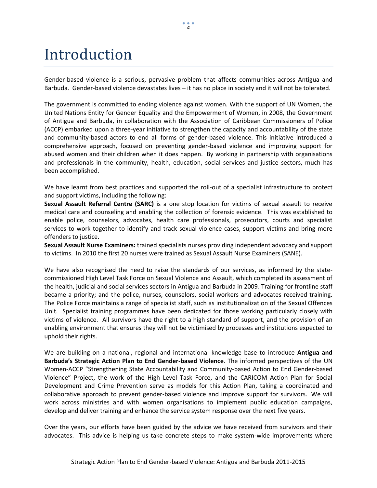### Introduction

Gender-based violence is a serious, pervasive problem that affects communities across Antigua and Barbuda. Gender-based violence devastates lives – it has no place in society and it will not be tolerated.

The government is committed to ending violence against women. With the support of UN Women, the United Nations Entity for Gender Equality and the Empowerment of Women, in 2008, the Government of Antigua and Barbuda, in collaboration with the Association of Caribbean Commissioners of Police (ACCP) embarked upon a three-year initiative to strengthen the capacity and accountability of the state and community-based actors to end all forms of gender-based violence. This initiative introduced a comprehensive approach, focused on preventing gender-based violence and improving support for abused women and their children when it does happen. By working in partnership with organisations and professionals in the community, health, education, social services and justice sectors, much has been accomplished.

We have learnt from best practices and supported the roll-out of a specialist infrastructure to protect and support victims, including the following:

**Sexual Assault Referral Centre (SARC)** is a one stop location for victims of sexual assault to receive medical care and counseling and enabling the collection of forensic evidence. This was established to enable police, counselors, advocates, health care professionals, prosecutors, courts and specialist services to work together to identify and track sexual violence cases, support victims and bring more offenders to justice.

**Sexual Assault Nurse Examiners:** trained specialists nurses providing independent advocacy and support to victims. In 2010 the first 20 nurses were trained as Sexual Assault Nurse Examiners (SANE).

We have also recognised the need to raise the standards of our services, as informed by the statecommissioned High Level Task Force on Sexual Violence and Assault, which completed its assessment of the health, judicial and social services sectors in Antigua and Barbuda in 2009. Training for frontline staff became a priority; and the police, nurses, counselors, social workers and advocates received training. The Police Force maintains a range of specialist staff, such as institutionalization of the Sexual Offences Unit. Specialist training programmes have been dedicated for those working particularly closely with victims of violence. All survivors have the right to a high standard of support, and the provision of an enabling environment that ensures they will not be victimised by processes and institutions expected to uphold their rights.

We are building on a national, regional and international knowledge base to introduce **Antigua and Barbuda's Strategic Action Plan to End Gender-based Violence**. The informed perspectives of the UN Women-ACCP "Strengthening State Accountability and Community-based Action to End Gender-based Violence" Project, the work of the High Level Task Force, and the CARICOM Action Plan for Social Development and Crime Prevention serve as models for this Action Plan, taking a coordinated and collaborative approach to prevent gender-based violence and improve support for survivors. We will work across ministries and with women organisations to implement public education campaigns, develop and deliver training and enhance the service system response over the next five years.

Over the years, our efforts have been guided by the advice we have received from survivors and their advocates. This advice is helping us take concrete steps to make system-wide improvements where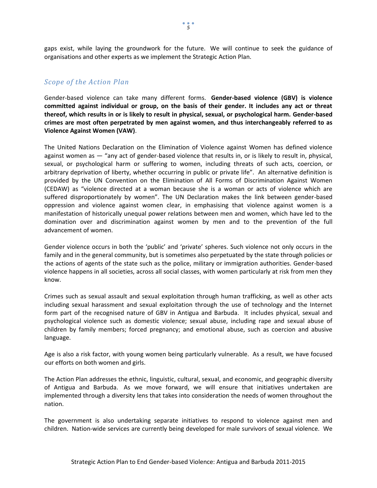gaps exist, while laying the groundwork for the future. We will continue to seek the guidance of organisations and other experts as we implement the Strategic Action Plan.

#### *Scope of the Action Plan*

Gender-based violence can take many different forms. **Gender-based violence (GBV) is violence committed against individual or group, on the basis of their gender. It includes any act or threat thereof, which results in or is likely to result in physical, sexual, or psychological harm. Gender-based crimes are most often perpetrated by men against women, and thus interchangeably referred to as Violence Against Women (VAW)**.

The United Nations Declaration on the Elimination of Violence against Women has defined violence against women as ― "any act of gender-based violence that results in, or is likely to result in, physical, sexual, or psychological harm or suffering to women, including threats of such acts, coercion, or arbitrary deprivation of liberty, whether occurring in public or private life". An alternative definition is provided by the UN Convention on the Elimination of All Forms of Discrimination Against Women (CEDAW) as "violence directed at a woman because she is a woman or acts of violence which are suffered disproportionately by women". The UN Declaration makes the link between gender-based oppression and violence against women clear, in emphasising that violence against women is a manifestation of historically unequal power relations between men and women, which have led to the domination over and discrimination against women by men and to the prevention of the full advancement of women.

Gender violence occurs in both the 'public' and 'private' spheres. Such violence not only occurs in the family and in the general community, but is sometimes also perpetuated by the state through policies or the actions of agents of the state such as the police, military or immigration authorities. Gender-based violence happens in all societies, across all social classes, with women particularly at risk from men they know.

Crimes such as sexual assault and sexual exploitation through human trafficking, as well as other acts including sexual harassment and sexual exploitation through the use of technology and the Internet form part of the recognised nature of GBV in Antigua and Barbuda. It includes physical, sexual and psychological violence such as domestic violence; sexual abuse, including rape and sexual abuse of children by family members; forced pregnancy; and emotional abuse, such as coercion and abusive language.

Age is also a risk factor, with young women being particularly vulnerable. As a result, we have focused our efforts on both women and girls.

The Action Plan addresses the ethnic, linguistic, cultural, sexual, and economic, and geographic diversity of Antigua and Barbuda. As we move forward, we will ensure that initiatives undertaken are implemented through a diversity lens that takes into consideration the needs of women throughout the nation.

The government is also undertaking separate initiatives to respond to violence against men and children. Nation-wide services are currently being developed for male survivors of sexual violence. We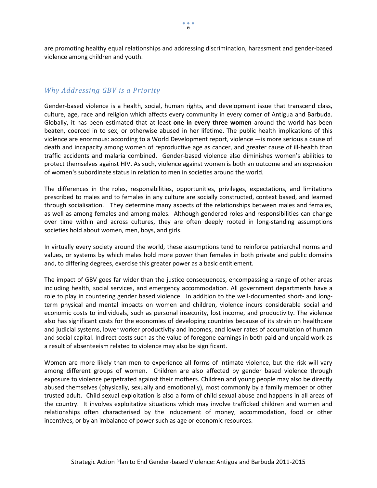are promoting healthy equal relationships and addressing discrimination, harassment and gender-based violence among children and youth.

#### *Why Addressing GBV is a Priority*

Gender-based violence is a health, social, human rights, and development issue that transcend class, culture, age, race and religion which affects every community in every corner of Antigua and Barbuda. Globally, it has been estimated that at least **one in every three women** around the world has been beaten, coerced in to sex, or otherwise abused in her lifetime. The public health implications of this violence are enormous: according to a World Development report, violence ―is more serious a cause of death and incapacity among women of reproductive age as cancer, and greater cause of ill-health than traffic accidents and malaria combined. Gender-based violence also diminishes women's abilities to protect themselves against HIV. As such, violence against women is both an outcome and an expression of women's subordinate status in relation to men in societies around the world.

The differences in the roles, responsibilities, opportunities, privileges, expectations, and limitations prescribed to males and to females in any culture are socially constructed, context based, and learned through socialisation. They determine many aspects of the relationships between males and females, as well as among females and among males. Although gendered roles and responsibilities can change over time within and across cultures, they are often deeply rooted in long-standing assumptions societies hold about women, men, boys, and girls.

In virtually every society around the world, these assumptions tend to reinforce patriarchal norms and values, or systems by which males hold more power than females in both private and public domains and, to differing degrees, exercise this greater power as a basic entitlement.

The impact of GBV goes far wider than the justice consequences, encompassing a range of other areas including health, social services, and emergency accommodation. All government departments have a role to play in countering gender based violence. In addition to the well-documented short- and longterm physical and mental impacts on women and children, violence incurs considerable social and economic costs to individuals, such as personal insecurity, lost income, and productivity. The violence also has significant costs for the economies of developing countries because of its strain on healthcare and judicial systems, lower worker productivity and incomes, and lower rates of accumulation of human and social capital. Indirect costs such as the value of foregone earnings in both paid and unpaid work as a result of absenteeism related to violence may also be significant.

Women are more likely than men to experience all forms of intimate violence, but the risk will vary among different groups of women. Children are also affected by gender based violence through exposure to violence perpetrated against their mothers. Children and young people may also be directly abused themselves (physically, sexually and emotionally), most commonly by a family member or other trusted adult. Child sexual exploitation is also a form of child sexual abuse and happens in all areas of the country. It involves exploitative situations which may involve trafficked children and women and relationships often characterised by the inducement of money, accommodation, food or other incentives, or by an imbalance of power such as age or economic resources.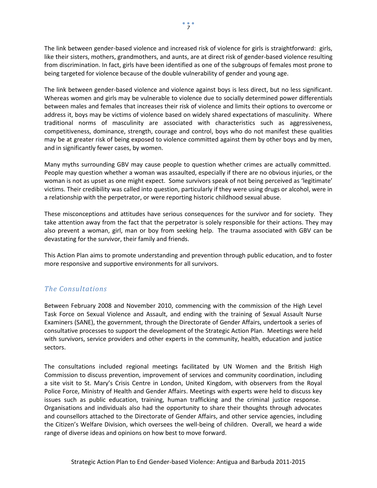The link between gender-based violence and increased risk of violence for girls is straightforward: girls, like their sisters, mothers, grandmothers, and aunts, are at direct risk of gender-based violence resulting from discrimination. In fact, girls have been identified as one of the subgroups of females most prone to being targeted for violence because of the double vulnerability of gender and young age.

The link between gender-based violence and violence against boys is less direct, but no less significant. Whereas women and girls may be vulnerable to violence due to socially determined power differentials between males and females that increases their risk of violence and limits their options to overcome or address it, boys may be victims of violence based on widely shared expectations of masculinity. Where traditional norms of masculinity are associated with characteristics such as aggressiveness, competitiveness, dominance, strength, courage and control, boys who do not manifest these qualities may be at greater risk of being exposed to violence committed against them by other boys and by men, and in significantly fewer cases, by women.

Many myths surrounding GBV may cause people to question whether crimes are actually committed. People may question whether a woman was assaulted, especially if there are no obvious injuries, or the woman is not as upset as one might expect. Some survivors speak of not being perceived as 'legitimate' victims. Their credibility was called into question, particularly if they were using drugs or alcohol, were in a relationship with the perpetrator, or were reporting historic childhood sexual abuse.

These misconceptions and attitudes have serious consequences for the survivor and for society. They take attention away from the fact that the perpetrator is solely responsible for their actions. They may also prevent a woman, girl, man or boy from seeking help. The trauma associated with GBV can be devastating for the survivor, their family and friends.

This Action Plan aims to promote understanding and prevention through public education, and to foster more responsive and supportive environments for all survivors.

### *The Consultations*

Between February 2008 and November 2010, commencing with the commission of the High Level Task Force on Sexual Violence and Assault, and ending with the training of Sexual Assault Nurse Examiners (SANE), the government, through the Directorate of Gender Affairs, undertook a series of consultative processes to support the development of the Strategic Action Plan. Meetings were held with survivors, service providers and other experts in the community, health, education and justice sectors.

The consultations included regional meetings facilitated by UN Women and the British High Commission to discuss prevention, improvement of services and community coordination, including a site visit to St. Mary's Crisis Centre in London, United Kingdom, with observers from the Royal Police Force, Ministry of Health and Gender Affairs. Meetings with experts were held to discuss key issues such as public education, training, human trafficking and the criminal justice response. Organisations and individuals also had the opportunity to share their thoughts through advocates and counsellors attached to the Directorate of Gender Affairs, and other service agencies, including the Citizen's Welfare Division, which oversees the well-being of children. Overall, we heard a wide range of diverse ideas and opinions on how best to move forward.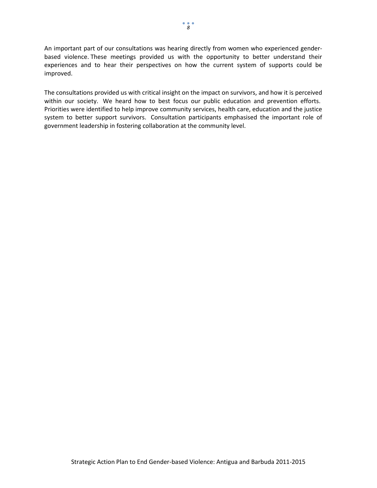An important part of our consultations was hearing directly from women who experienced genderbased violence. These meetings provided us with the opportunity to better understand their experiences and to hear their perspectives on how the current system of supports could be improved.

The consultations provided us with critical insight on the impact on survivors, and how it is perceived within our society. We heard how to best focus our public education and prevention efforts. Priorities were identified to help improve community services, health care, education and the justice system to better support survivors. Consultation participants emphasised the important role of government leadership in fostering collaboration at the community level.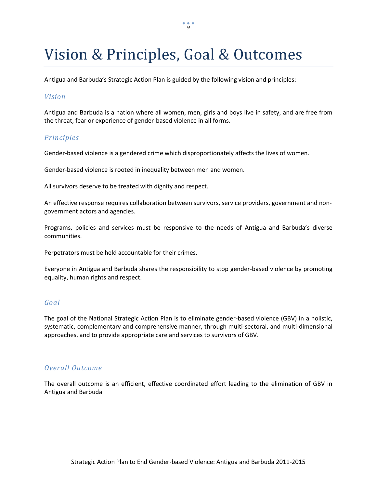## Vision & Principles, Goal & Outcomes

Antigua and Barbuda's Strategic Action Plan is guided by the following vision and principles:

### *Vision*

Antigua and Barbuda is a nation where all women, men, girls and boys live in safety, and are free from the threat, fear or experience of gender-based violence in all forms.

### *Principles*

Gender-based violence is a gendered crime which disproportionately affects the lives of women.

Gender-based violence is rooted in inequality between men and women.

All survivors deserve to be treated with dignity and respect.

An effective response requires collaboration between survivors, service providers, government and nongovernment actors and agencies.

Programs, policies and services must be responsive to the needs of Antigua and Barbuda's diverse communities.

Perpetrators must be held accountable for their crimes.

Everyone in Antigua and Barbuda shares the responsibility to stop gender-based violence by promoting equality, human rights and respect.

#### *Goal*

The goal of the National Strategic Action Plan is to eliminate gender-based violence (GBV) in a holistic, systematic, complementary and comprehensive manner, through multi-sectoral, and multi-dimensional approaches, and to provide appropriate care and services to survivors of GBV.

#### *Overall Outcome*

The overall outcome is an efficient, effective coordinated effort leading to the elimination of GBV in Antigua and Barbuda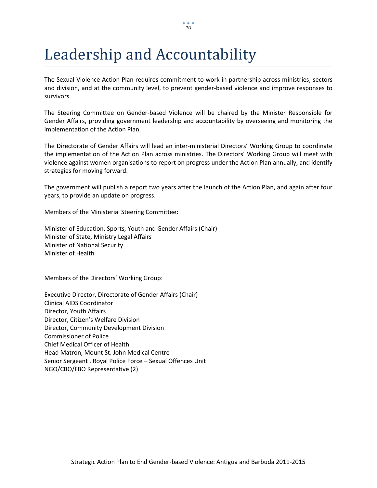# Leadership and Accountability

The Sexual Violence Action Plan requires commitment to work in partnership across ministries, sectors and division, and at the community level, to prevent gender-based violence and improve responses to survivors.

The Steering Committee on Gender-based Violence will be chaired by the Minister Responsible for Gender Affairs, providing government leadership and accountability by overseeing and monitoring the implementation of the Action Plan.

The Directorate of Gender Affairs will lead an inter-ministerial Directors' Working Group to coordinate the implementation of the Action Plan across ministries. The Directors' Working Group will meet with violence against women organisations to report on progress under the Action Plan annually, and identify strategies for moving forward.

The government will publish a report two years after the launch of the Action Plan, and again after four years, to provide an update on progress.

Members of the Ministerial Steering Committee:

Minister of Education, Sports, Youth and Gender Affairs (Chair) Minister of State, Ministry Legal Affairs Minister of National Security Minister of Health

Members of the Directors' Working Group:

Executive Director, Directorate of Gender Affairs (Chair) Clinical AIDS Coordinator Director, Youth Affairs Director, Citizen's Welfare Division Director, Community Development Division Commissioner of Police Chief Medical Officer of Health Head Matron, Mount St. John Medical Centre Senior Sergeant , Royal Police Force – Sexual Offences Unit NGO/CBO/FBO Representative (2)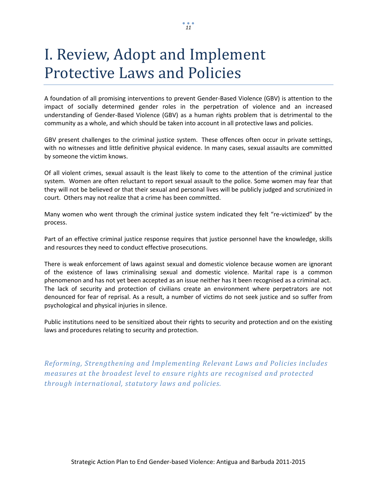# I. Review, Adopt and Implement Protective Laws and Policies

A foundation of all promising interventions to prevent Gender-Based Violence (GBV) is attention to the impact of socially determined gender roles in the perpetration of violence and an increased understanding of Gender-Based Violence (GBV) as a human rights problem that is detrimental to the community as a whole, and which should be taken into account in all protective laws and policies.

GBV present challenges to the criminal justice system. These offences often occur in private settings, with no witnesses and little definitive physical evidence. In many cases, sexual assaults are committed by someone the victim knows.

Of all violent crimes, sexual assault is the least likely to come to the attention of the criminal justice system. Women are often reluctant to report sexual assault to the police. Some women may fear that they will not be believed or that their sexual and personal lives will be publicly judged and scrutinized in court. Others may not realize that a crime has been committed.

Many women who went through the criminal justice system indicated they felt "re-victimized" by the process.

Part of an effective criminal justice response requires that justice personnel have the knowledge, skills and resources they need to conduct effective prosecutions.

There is weak enforcement of laws against sexual and domestic violence because women are ignorant of the existence of laws criminalising sexual and domestic violence. Marital rape is a common phenomenon and has not yet been accepted as an issue neither has it been recognised as a criminal act. The lack of security and protection of civilians create an environment where perpetrators are not denounced for fear of reprisal. As a result, a number of victims do not seek justice and so suffer from psychological and physical injuries in silence.

Public institutions need to be sensitized about their rights to security and protection and on the existing laws and procedures relating to security and protection.

*Reforming, Strengthening and Implementing Relevant Laws and Policies includes measures at the broadest level to ensure rights are recognised and protected through international, statutory laws and policies.*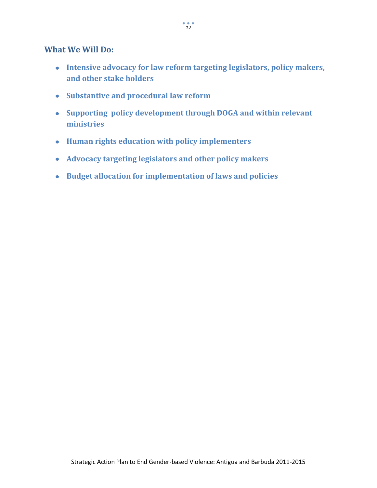### **What We Will Do:**

- **Intensive advocacy for law reform targeting legislators, policy makers, and other stake holders**
- **Substantive and procedural law reform**
- **Supporting policy development through DOGA and within relevant ministries**
- **Human rights education with policy implementers**
- **Advocacy targeting legislators and other policy makers**
- **Budget allocation for implementation of laws and policies**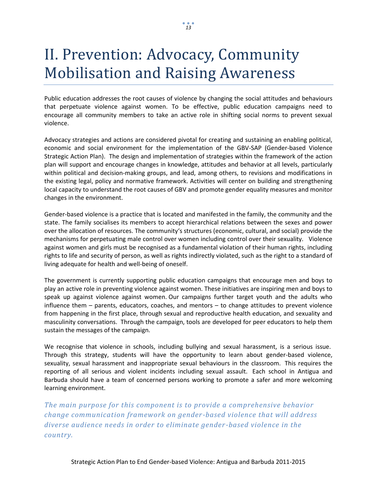# II. Prevention: Advocacy, Community Mobilisation and Raising Awareness

Public education addresses the root causes of violence by changing the social attitudes and behaviours that perpetuate violence against women. To be effective, public education campaigns need to encourage all community members to take an active role in shifting social norms to prevent sexual violence.

Advocacy strategies and actions are considered pivotal for creating and sustaining an enabling political, economic and social environment for the implementation of the GBV-SAP (Gender-based Violence Strategic Action Plan). The design and implementation of strategies within the framework of the action plan will support and encourage changes in knowledge, attitudes and behavior at all levels, particularly within political and decision-making groups, and lead, among others, to revisions and modifications in the existing legal, policy and normative framework. Activities will center on building and strengthening local capacity to understand the root causes of GBV and promote gender equality measures and monitor changes in the environment.

Gender-based violence is a practice that is located and manifested in the family, the community and the state. The family socialises its members to accept hierarchical relations between the sexes and power over the allocation of resources. The community's structures (economic, cultural, and social) provide the mechanisms for perpetuating male control over women including control over their sexuality. Violence against women and girls must be recognised as a fundamental violation of their human rights, including rights to life and security of person, as well as rights indirectly violated, such as the right to a standard of living adequate for health and well-being of oneself.

The government is currently supporting public education campaigns that encourage men and boys to play an active role in preventing violence against women. These initiatives are inspiring men and boys to speak up against violence against women. Our campaigns further target youth and the adults who influence them – parents, educators, coaches, and mentors – to change attitudes to prevent violence from happening in the first place, through sexual and reproductive health education, and sexuality and masculinity conversations. Through the campaign, tools are developed for peer educators to help them sustain the messages of the campaign.

We recognise that violence in schools, including bullying and sexual harassment, is a serious issue. Through this strategy, students will have the opportunity to learn about gender-based violence, sexuality, sexual harassment and inappropriate sexual behaviours in the classroom. This requires the reporting of all serious and violent incidents including sexual assault. Each school in Antigua and Barbuda should have a team of concerned persons working to promote a safer and more welcoming learning environment.

*The main purpose for this component is to provide a comprehensive behavior change communication framework on gender -based violence that will address diverse audience needs in order to eliminate gender -based violence in the country.*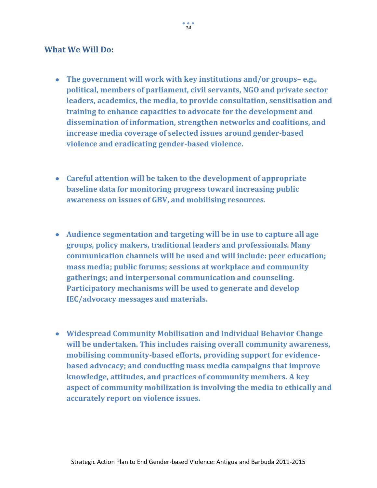### **What We Will Do:**

- **The government will work with key institutions and/or groups– e.g., political, members of parliament, civil servants, NGO and private sector leaders, academics, the media, to provide consultation, sensitisation and training to enhance capacities to advocate for the development and dissemination of information, strengthen networks and coalitions, and increase media coverage of selected issues around gender-based violence and eradicating gender-based violence.**
- **Careful attention will be taken to the development of appropriate baseline data for monitoring progress toward increasing public awareness on issues of GBV, and mobilising resources.**
- **Audience segmentation and targeting will be in use to capture all age groups, policy makers, traditional leaders and professionals. Many communication channels will be used and will include: peer education; mass media; public forums; sessions at workplace and community gatherings; and interpersonal communication and counseling. Participatory mechanisms will be used to generate and develop IEC/advocacy messages and materials.**
- **Widespread Community Mobilisation and Individual Behavior Change will be undertaken. This includes raising overall community awareness, mobilising community-based efforts, providing support for evidencebased advocacy; and conducting mass media campaigns that improve knowledge, attitudes, and practices of community members. A key aspect of community mobilization is involving the media to ethically and accurately report on violence issues.**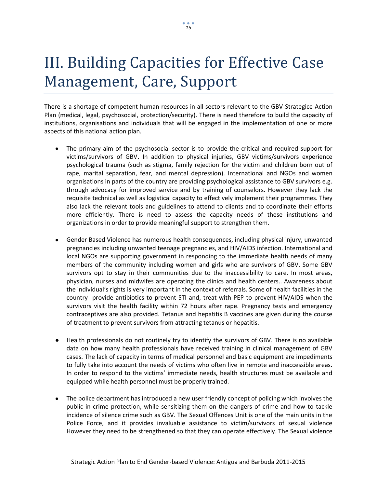# III. Building Capacities for Effective Case Management, Care, Support

There is a shortage of competent human resources in all sectors relevant to the GBV Strategice Action Plan (medical, legal, psychosocial, protection/security). There is need therefore to build the capacity of institutions, organisations and individuals that will be engaged in the implementation of one or more aspects of this national action plan.

- The primary aim of the psychosocial sector is to provide the critical and required support for victims/survivors of GBV**.** In addition to physical injuries, GBV victims/survivors experience psychological trauma (such as stigma, family rejection for the victim and children born out of rape, marital separation, fear, and mental depression). International and NGOs and women organisations in parts of the country are providing psychological assistance to GBV survivors e.g. through advocacy for improved service and by training of counselors. However they lack the requisite technical as well as logistical capacity to effectively implement their programmes. They also lack the relevant tools and guidelines to attend to clients and to coordinate their efforts more efficiently. There is need to assess the capacity needs of these institutions and organizations in order to provide meaningful support to strengthen them.
- Gender Based Violence has numerous health consequences, including physical injury, unwanted pregnancies including unwanted teenage pregnancies, and HIV/AIDS infection. International and local NGOs are supporting government in responding to the immediate health needs of many members of the community including women and girls who are survivors of GBV. Some GBV survivors opt to stay in their communities due to the inaccessibility to care. In most areas, physician, nurses and midwifes are operating the clinics and health centers.. Awareness about the individual's rights is very important in the context of referrals. Some of health facilities in the country provide antibiotics to prevent STI and, treat with PEP to prevent HIV/AIDS when the survivors visit the health facility within 72 hours after rape. Pregnancy tests and emergency contraceptives are also provided. Tetanus and hepatitis B vaccines are given during the course of treatment to prevent survivors from attracting tetanus or hepatitis.
- Health professionals do not routinely try to identify the survivors of GBV. There is no available data on how many health professionals have received training in clinical management of GBV cases. The lack of capacity in terms of medical personnel and basic equipment are impediments to fully take into account the needs of victims who often live in remote and inaccessible areas. In order to respond to the victims' immediate needs, health structures must be available and equipped while health personnel must be properly trained.
- The police department has introduced a new user friendly concept of policing which involves the public in crime protection, while sensitizing them on the dangers of crime and how to tackle incidence of silence crime such as GBV. The Sexual Offences Unit is one of the main units in the Police Force, and it provides invaluable assistance to victim/survivors of sexual violence However they need to be strengthened so that they can operate effectively. The Sexual violence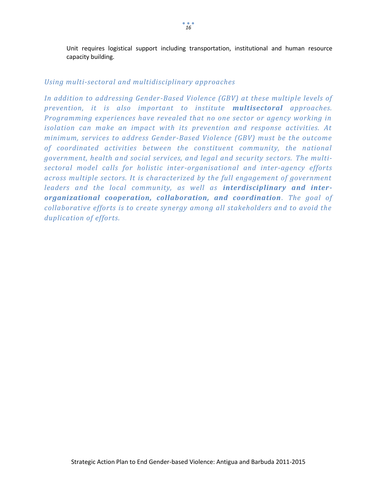Unit requires logistical support including transportation, institutional and human resource capacity building.

### *Using multi-sectoral and multidisciplinary approaches*

*In addition to addressing Gender-Based Violence (GBV) at these multiple levels of prevention, it is also important to institute multisectoral approaches. Programming experiences have revealed that no one sector or agency working in isolation can make an impact with its prevention and response activities. At minimum, services to address Gender-Based Violence (GBV) must be the outcome of coordinated activities between the constituent community, the national government, health and social services, and legal and security sectors. The multisectoral model calls for holistic inter-organisational and inter-agency efforts across multiple sectors. It is characterized by the full engagement of government leaders and the local community, as well as interdisciplinary and interorganizational cooperation, collaboration, and coordination. The goal of collaborative efforts is to create synergy among all stakeholders and to avoid the duplication of efforts.*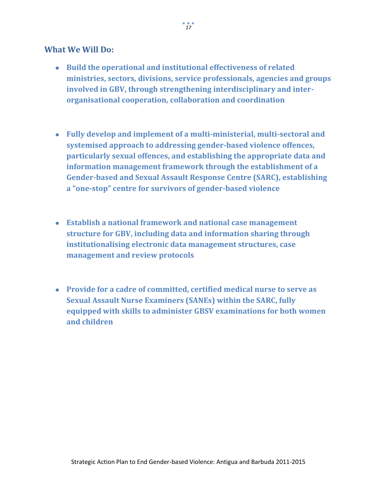### **What We Will Do:**

- **Build the operational and institutional effectiveness of related ministries, sectors, divisions, service professionals, agencies and groups involved in GBV, through strengthening interdisciplinary and interorganisational cooperation, collaboration and coordination**
- **Fully develop and implement of a multi-ministerial, multi-sectoral and systemised approach to addressing gender-based violence offences, particularly sexual offences, and establishing the appropriate data and information management framework through the establishment of a Gender-based and Sexual Assault Response Centre (SARC), establishing a "one-stop" centre for survivors of gender-based violence**
- **Establish a national framework and national case management structure for GBV, including data and information sharing through institutionalising electronic data management structures, case management and review protocols**
- **Provide for a cadre of committed, certified medical nurse to serve as Sexual Assault Nurse Examiners (SANEs) within the SARC, fully equipped with skills to administer GBSV examinations for both women and children**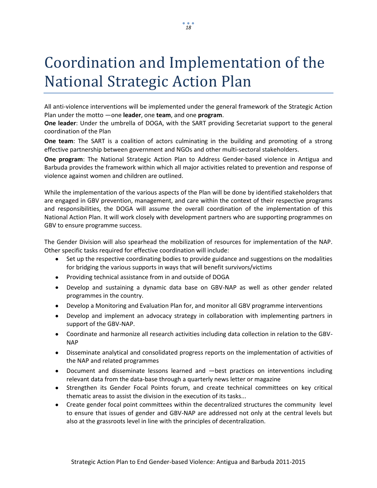# Coordination and Implementation of the National Strategic Action Plan

All anti-violence interventions will be implemented under the general framework of the Strategic Action Plan under the motto ―one **leader**, one **team**, and one **program**.

**One leader**: Under the umbrella of DOGA, with the SART providing Secretariat support to the general coordination of the Plan

**One team**: The SART is a coalition of actors culminating in the building and promoting of a strong effective partnership between government and NGOs and other multi-sectoral stakeholders.

**One program**: The National Strategic Action Plan to Address Gender-based violence in Antigua and Barbuda provides the framework within which all major activities related to prevention and response of violence against women and children are outlined.

While the implementation of the various aspects of the Plan will be done by identified stakeholders that are engaged in GBV prevention, management, and care within the context of their respective programs and responsibilities, the DOGA will assume the overall coordination of the implementation of this National Action Plan. It will work closely with development partners who are supporting programmes on GBV to ensure programme success.

The Gender Division will also spearhead the mobilization of resources for implementation of the NAP. Other specific tasks required for effective coordination will include:

- Set up the respective coordinating bodies to provide guidance and suggestions on the modalities  $\bullet$ for bridging the various supports in ways that will benefit survivors/victims
- Providing technical assistance from in and outside of DOGA
- Develop and sustaining a dynamic data base on GBV-NAP as well as other gender related programmes in the country.
- Develop a Monitoring and Evaluation Plan for, and monitor all GBV programme interventions
- Develop and implement an advocacy strategy in collaboration with implementing partners in  $\bullet$ support of the GBV-NAP.
- Coordinate and harmonize all research activities including data collection in relation to the GBV-NAP
- Disseminate analytical and consolidated progress reports on the implementation of activities of the NAP and related programmes
- Document and disseminate lessons learned and —best practices on interventions including relevant data from the data-base through a quarterly news letter or magazine
- Strengthen its Gender Focal Points forum, and create technical committees on key critical thematic areas to assist the division in the execution of its tasks...
- Create gender focal point committees within the decentralized structures the community level to ensure that issues of gender and GBV-NAP are addressed not only at the central levels but also at the grassroots level in line with the principles of decentralization.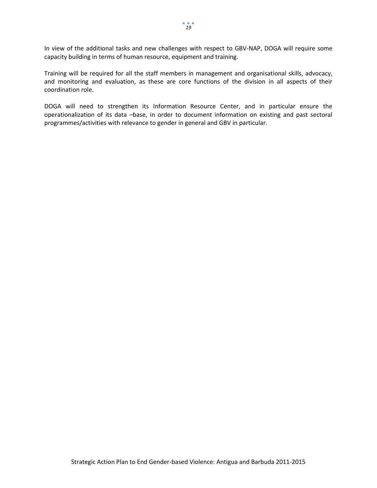In view of the additional tasks and new challenges with respect to GBV-NAP, DOGA will require some capacity building in terms of human resource, equipment and training.

Training will be required for all the staff members in management and organisational skills, advocacy, and monitoring and evaluation, as these are core functions of the division in all aspects of their coordination role.

DOGA will need to strengthen its Information Resource Center, and in particular ensure the operationalization of its data –base, in order to document information on existing and past sectoral programmes/activities with relevance to gender in general and GBV in particular.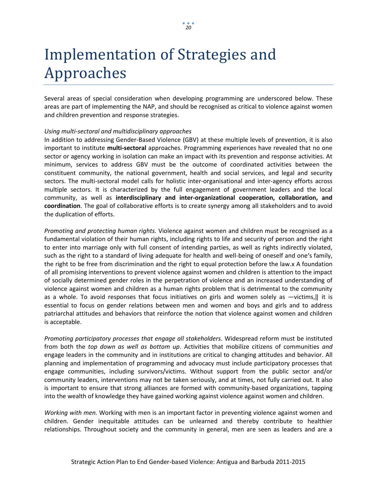# Implementation of Strategies and Approaches

Several areas of special consideration when developing programming are underscored below. These areas are part of implementing the NAP, and should be recognised as critical to violence against women and children prevention and response strategies.

#### *Using multi-sectoral and multidisciplinary approaches*

In addition to addressing Gender-Based Violence (GBV) at these multiple levels of prevention, it is also important to institute **multi-sectoral** approaches. Programming experiences have revealed that no one sector or agency working in isolation can make an impact with its prevention and response activities. At minimum, services to address GBV must be the outcome of coordinated activities between the constituent community, the national government, health and social services, and legal and security sectors. The multi-sectoral model calls for holistic inter-organisational and inter-agency efforts across multiple sectors. It is characterized by the full engagement of government leaders and the local community, as well as **interdisciplinary and inter-organizational cooperation, collaboration, and coordination**. The goal of collaborative efforts is to create synergy among all stakeholders and to avoid the duplication of efforts.

*Promoting and protecting human rights.* Violence against women and children must be recognised as a fundamental violation of their human rights, including rights to life and security of person and the right to enter into marriage only with full consent of intending parties, as well as rights indirectly violated, such as the right to a standard of living adequate for health and well-being of oneself and one's family, the right to be free from discrimination and the right to equal protection before the law.x A foundation of all promising interventions to prevent violence against women and children is attention to the impact of socially determined gender roles in the perpetration of violence and an increased understanding of violence against women and children as a human rights problem that is detrimental to the community as a whole. To avoid responses that focus initiatives on girls and women solely as  $-\text{victims},$  it is essential to focus on gender relations between men and women and boys and girls and to address patriarchal attitudes and behaviors that reinforce the notion that violence against women and children is acceptable.

*Promoting participatory processes that engage all stakeholders.* Widespread reform must be instituted from both the *top down as well as bottom up*. Activities that mobilize citizens of communities *and*  engage leaders in the community and in institutions are critical to changing attitudes and behavior. All planning and implementation of programming and advocacy must include participatory processes that engage communities, including survivors/victims. Without support from the public sector and/or community leaders, interventions may not be taken seriously, and at times, not fully carried out. It also is important to ensure that strong alliances are formed with community-based organizations, tapping into the wealth of knowledge they have gained working against violence against women and children.

*Working with men.* Working with men is an important factor in preventing violence against women and children. Gender inequitable attitudes can be unlearned and thereby contribute to healthier relationships. Throughout society and the community in general, men are seen as leaders and are a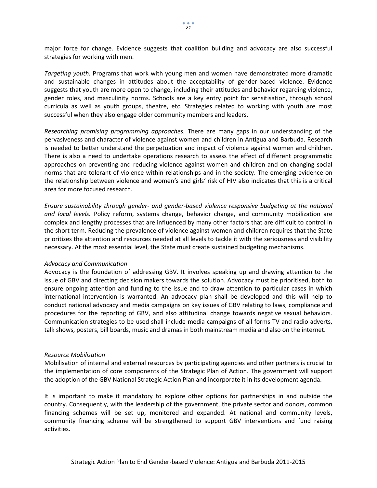major force for change. Evidence suggests that coalition building and advocacy are also successful strategies for working with men.

*Targeting youth.* Programs that work with young men and women have demonstrated more dramatic and sustainable changes in attitudes about the acceptability of gender-based violence. Evidence suggests that youth are more open to change, including their attitudes and behavior regarding violence, gender roles, and masculinity norms. Schools are a key entry point for sensitisation, through school curricula as well as youth groups, theatre, etc. Strategies related to working with youth are most successful when they also engage older community members and leaders.

*Researching promising programming approaches.* There are many gaps in our understanding of the pervasiveness and character of violence against women and children in Antigua and Barbuda. Research is needed to better understand the perpetuation and impact of violence against women and children. There is also a need to undertake operations research to assess the effect of different programmatic approaches on preventing and reducing violence against women and children and on changing social norms that are tolerant of violence within relationships and in the society. The emerging evidence on the relationship between violence and women's and girls' risk of HIV also indicates that this is a critical area for more focused research.

*Ensure sustainability through gender- and gender-based violence responsive budgeting at the national and local levels.* Policy reform, systems change, behavior change, and community mobilization are complex and lengthy processes that are influenced by many other factors that are difficult to control in the short term. Reducing the prevalence of violence against women and children requires that the State prioritizes the attention and resources needed at all levels to tackle it with the seriousness and visibility necessary. At the most essential level, the State must create sustained budgeting mechanisms.

#### *Advocacy and Communication*

Advocacy is the foundation of addressing GBV. It involves speaking up and drawing attention to the issue of GBV and directing decision makers towards the solution. Advocacy must be prioritised, both to ensure ongoing attention and funding to the issue and to draw attention to particular cases in which international intervention is warranted. An advocacy plan shall be developed and this will help to conduct national advocacy and media campaigns on key issues of GBV relating to laws, compliance and procedures for the reporting of GBV, and also attitudinal change towards negative sexual behaviors. Communication strategies to be used shall include media campaigns of all forms TV and radio adverts, talk shows, posters, bill boards, music and dramas in both mainstream media and also on the internet.

#### *Resource Mobilisation*

Mobilisation of internal and external resources by participating agencies and other partners is crucial to the implementation of core components of the Strategic Plan of Action. The government will support the adoption of the GBV National Strategic Action Plan and incorporate it in its development agenda.

It is important to make it mandatory to explore other options for partnerships in and outside the country. Consequently, with the leadership of the government, the private sector and donors, common financing schemes will be set up, monitored and expanded. At national and community levels, community financing scheme will be strengthened to support GBV interventions and fund raising activities.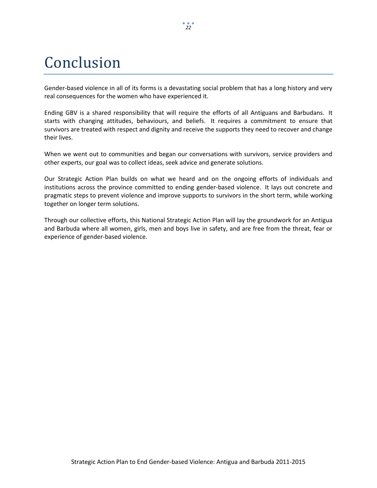# Conclusion

Gender-based violence in all of its forms is a devastating social problem that has a long history and very real consequences for the women who have experienced it.

Ending GBV is a shared responsibility that will require the efforts of all Antiguans and Barbudans. It starts with changing attitudes, behaviours, and beliefs. It requires a commitment to ensure that survivors are treated with respect and dignity and receive the supports they need to recover and change their lives.

When we went out to communities and began our conversations with survivors, service providers and other experts, our goal was to collect ideas, seek advice and generate solutions.

Our Strategic Action Plan builds on what we heard and on the ongoing efforts of individuals and institutions across the province committed to ending gender-based violence. It lays out concrete and pragmatic steps to prevent violence and improve supports to survivors in the short term, while working together on longer term solutions.

Through our collective efforts, this National Strategic Action Plan will lay the groundwork for an Antigua and Barbuda where all women, girls, men and boys live in safety, and are free from the threat, fear or experience of gender-based violence.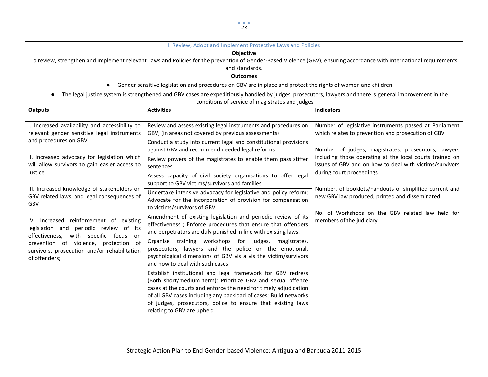#### I. Review, Adopt and Implement Protective Laws and Policies

#### **Objective**

To review, strengthen and implement relevant Laws and Policies for the prevention of Gender-Based Violence (GBV), ensuring accordance with international requirements and standards.

**Outcomes**

- Gender sensitive legislation and procedures on GBV are in place and protect the rights of women and children
- The legal justice system is strengthened and GBV cases are expeditiously handled by judges, prosecutors, lawyers and there is general improvement in the conditions of service of magistrates and judges

| <b>Outputs</b>                                                                                                                                                                                                                                                                                                                                 | <b>Activities</b>                                                                                                                                                                                                                                                                                                                                               | <b>Indicators</b>                                                                                                                                                                                                                                           |
|------------------------------------------------------------------------------------------------------------------------------------------------------------------------------------------------------------------------------------------------------------------------------------------------------------------------------------------------|-----------------------------------------------------------------------------------------------------------------------------------------------------------------------------------------------------------------------------------------------------------------------------------------------------------------------------------------------------------------|-------------------------------------------------------------------------------------------------------------------------------------------------------------------------------------------------------------------------------------------------------------|
| I. Increased availability and accessibility to<br>relevant gender sensitive legal instruments<br>and procedures on GBV<br>II. Increased advocacy for legislation which<br>will allow survivors to gain easier access to<br>justice<br>III. Increased knowledge of stakeholders on<br>GBV related laws, and legal consequences of<br><b>GBV</b> | Review and assess existing legal instruments and procedures on<br>GBV; (in areas not covered by previous assessments)                                                                                                                                                                                                                                           | Number of legislative instruments passed at Parliament<br>which relates to prevention and prosecution of GBV                                                                                                                                                |
|                                                                                                                                                                                                                                                                                                                                                | Conduct a study into current legal and constitutional provisions<br>against GBV and recommend needed legal reforms                                                                                                                                                                                                                                              | Number of judges, magistrates, prosecutors, lawyers                                                                                                                                                                                                         |
|                                                                                                                                                                                                                                                                                                                                                | Review powers of the magistrates to enable them pass stiffer<br>sentences                                                                                                                                                                                                                                                                                       | including those operating at the local courts trained on<br>issues of GBV and on how to deal with victims/survivors<br>during court proceedings<br>Number. of booklets/handouts of simplified current and<br>new GBV law produced, printed and disseminated |
|                                                                                                                                                                                                                                                                                                                                                | Assess capacity of civil society organisations to offer legal<br>support to GBV victims/survivors and families                                                                                                                                                                                                                                                  |                                                                                                                                                                                                                                                             |
|                                                                                                                                                                                                                                                                                                                                                | Undertake intensive advocacy for legislative and policy reform;<br>Advocate for the incorporation of provision for compensation<br>to victims/survivors of GBV                                                                                                                                                                                                  |                                                                                                                                                                                                                                                             |
| IV. Increased reinforcement of existing<br>legislation and periodic review of its<br>with specific focus<br>effectiveness,<br>on<br>prevention of violence, protection of<br>survivors, prosecution and/or rehabilitation<br>of offenders;                                                                                                     | Amendment of existing legislation and periodic review of its<br>effectiveness; Enforce procedures that ensure that offenders<br>and perpetrators are duly punished in line with existing laws.                                                                                                                                                                  | No. of Workshops on the GBV related law held for<br>members of the judiciary                                                                                                                                                                                |
|                                                                                                                                                                                                                                                                                                                                                | Organise training workshops<br>for judges,<br>magistrates,<br>prosecutors, lawyers and the police on the emotional,<br>psychological dimensions of GBV vis a vis the victim/survivors<br>and how to deal with such cases                                                                                                                                        |                                                                                                                                                                                                                                                             |
|                                                                                                                                                                                                                                                                                                                                                | Establish institutional and legal framework for GBV redress<br>(Both short/medium term): Prioritize GBV and sexual offence<br>cases at the courts and enforce the need for timely adjudication<br>of all GBV cases including any backload of cases; Build networks<br>of judges, prosecutors, police to ensure that existing laws<br>relating to GBV are upheld |                                                                                                                                                                                                                                                             |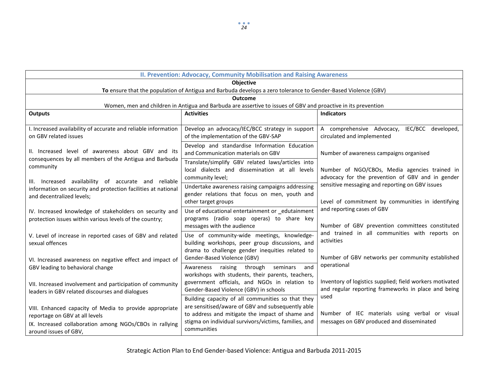| II. Prevention: Advocacy, Community Mobilisation and Raising Awareness                                                                                                        |                                                                                                                                                                                                                                   |                                                                                                                 |  |  |  |
|-------------------------------------------------------------------------------------------------------------------------------------------------------------------------------|-----------------------------------------------------------------------------------------------------------------------------------------------------------------------------------------------------------------------------------|-----------------------------------------------------------------------------------------------------------------|--|--|--|
| <b>Objective</b><br>To ensure that the population of Antigua and Barbuda develops a zero tolerance to Gender-Based Violence (GBV)                                             |                                                                                                                                                                                                                                   |                                                                                                                 |  |  |  |
| <b>Outcome</b>                                                                                                                                                                |                                                                                                                                                                                                                                   |                                                                                                                 |  |  |  |
|                                                                                                                                                                               | Women, men and children in Antigua and Barbuda are assertive to issues of GBV and proactive in its prevention                                                                                                                     |                                                                                                                 |  |  |  |
| <b>Outputs</b>                                                                                                                                                                | <b>Activities</b>                                                                                                                                                                                                                 | <b>Indicators</b>                                                                                               |  |  |  |
| I. Increased availability of accurate and reliable information<br>on GBV related issues                                                                                       | Develop an advocacy/IEC/BCC strategy in support<br>of the implementation of the GBV-SAP                                                                                                                                           | A comprehensive Advocacy, IEC/BCC developed,<br>circulated and implemented                                      |  |  |  |
| II. Increased level of awareness about GBV and its<br>consequences by all members of the Antigua and Barbuda                                                                  | Develop and standardise Information Education<br>and Communication materials on GBV                                                                                                                                               | Number of awareness campaigns organised                                                                         |  |  |  |
| community<br>III. Increased availability of accurate and reliable                                                                                                             | Translate/simplify GBV related laws/articles into<br>local dialects and dissemination at all levels<br>community level;                                                                                                           | Number of NGO/CBOs, Media agencies trained in<br>advocacy for the prevention of GBV and in gender               |  |  |  |
| information on security and protection facilities at national<br>and decentralized levels;                                                                                    | Undertake awareness raising campaigns addressing<br>gender relations that focus on men, youth and<br>other target groups                                                                                                          | sensitive messaging and reporting on GBV issues<br>Level of commitment by communities in identifying            |  |  |  |
| IV. Increased knowledge of stakeholders on security and<br>protection issues within various levels of the country;                                                            | Use of educational entertainment or _edutainment<br>programs (radio soap operas) to share key<br>messages with the audience                                                                                                       | and reporting cases of GBV<br>Number of GBV prevention committees constituted                                   |  |  |  |
| V. Level of increase in reported cases of GBV and related<br>sexual offences                                                                                                  | Use of community-wide meetings, knowledge-<br>building workshops, peer group discussions, and<br>drama to challenge gender inequities related to                                                                                  | and trained in all communities with reports on<br>activities                                                    |  |  |  |
| VI. Increased awareness on negative effect and impact of<br>GBV leading to behavioral change                                                                                  | Gender-Based Violence (GBV)<br>Awareness raising through<br>seminars<br>and                                                                                                                                                       | Number of GBV networks per community established<br>operational                                                 |  |  |  |
| VII. Increased involvement and participation of community<br>leaders in GBV related discourses and dialogues                                                                  | workshops with students, their parents, teachers,<br>government officials, and NGOs in relation to<br>Gender-Based Violence (GBV) in schools                                                                                      | Inventory of logistics supplied; field workers motivated<br>and regular reporting frameworks in place and being |  |  |  |
| VIII. Enhanced capacity of Media to provide appropriate<br>reportage on GBV at all levels<br>IX. Increased collaboration among NGOs/CBOs in rallying<br>around issues of GBV, | Building capacity of all communities so that they<br>are sensitised/aware of GBV and subsequently able<br>to address and mitigate the impact of shame and<br>stigma on individual survivors/victims, families, and<br>communities | used<br>Number of IEC materials using verbal or visual<br>messages on GBV produced and disseminated             |  |  |  |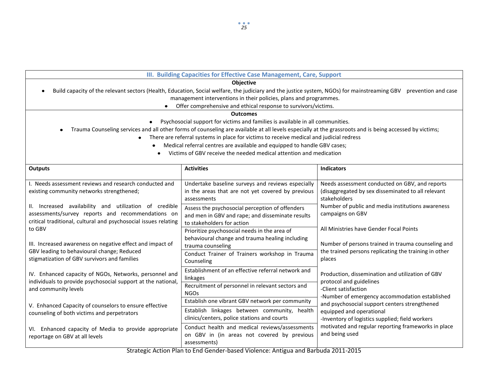| III. Building Capacities for Effective Case Management, Care, Support                                                          |                                                                                                                                                                                                                                                    |                                                                                                                                                                  |  |  |  |
|--------------------------------------------------------------------------------------------------------------------------------|----------------------------------------------------------------------------------------------------------------------------------------------------------------------------------------------------------------------------------------------------|------------------------------------------------------------------------------------------------------------------------------------------------------------------|--|--|--|
| <b>Objective</b>                                                                                                               |                                                                                                                                                                                                                                                    |                                                                                                                                                                  |  |  |  |
|                                                                                                                                |                                                                                                                                                                                                                                                    | Build capacity of the relevant sectors (Health, Education, Social welfare, the judiciary and the justice system, NGOs) for mainstreaming GBV prevention and case |  |  |  |
| management interventions in their policies, plans and programmes.                                                              |                                                                                                                                                                                                                                                    |                                                                                                                                                                  |  |  |  |
|                                                                                                                                | Offer comprehensive and ethical response to survivors/victims.                                                                                                                                                                                     |                                                                                                                                                                  |  |  |  |
|                                                                                                                                | <b>Outcomes</b>                                                                                                                                                                                                                                    |                                                                                                                                                                  |  |  |  |
| $\bullet$                                                                                                                      | Psychosocial support for victims and families is available in all communities.                                                                                                                                                                     |                                                                                                                                                                  |  |  |  |
| $\bullet$                                                                                                                      | Trauma Counseling services and all other forms of counseling are available at all levels especially at the grassroots and is being accessed by victims;<br>There are referral systems in place for victims to receive medical and judicial redress |                                                                                                                                                                  |  |  |  |
|                                                                                                                                | Medical referral centres are available and equipped to handle GBV cases;                                                                                                                                                                           |                                                                                                                                                                  |  |  |  |
|                                                                                                                                | Victims of GBV receive the needed medical attention and medication                                                                                                                                                                                 |                                                                                                                                                                  |  |  |  |
|                                                                                                                                |                                                                                                                                                                                                                                                    |                                                                                                                                                                  |  |  |  |
| <b>Outputs</b>                                                                                                                 | <b>Activities</b>                                                                                                                                                                                                                                  | <b>Indicators</b>                                                                                                                                                |  |  |  |
| I. Needs assessment reviews and research conducted and                                                                         | Undertake baseline surveys and reviews especially                                                                                                                                                                                                  | Needs assessment conducted on GBV, and reports                                                                                                                   |  |  |  |
| existing community networks strengthened;                                                                                      | in the areas that are not yet covered by previous                                                                                                                                                                                                  | (disaggregated by sex disseminated to all relevant                                                                                                               |  |  |  |
|                                                                                                                                | assessments                                                                                                                                                                                                                                        | stakeholders                                                                                                                                                     |  |  |  |
| II. Increased availability and utilization of credible                                                                         | Assess the psychosocial perception of offenders                                                                                                                                                                                                    | Number of public and media institutions awareness                                                                                                                |  |  |  |
| assessments/survey reports and recommendations on<br>critical traditional, cultural and psychosocial issues relating<br>to GBV | and men in GBV and rape; and disseminate results                                                                                                                                                                                                   | campaigns on GBV                                                                                                                                                 |  |  |  |
|                                                                                                                                | to stakeholders for action                                                                                                                                                                                                                         |                                                                                                                                                                  |  |  |  |
|                                                                                                                                | Prioritize psychosocial needs in the area of                                                                                                                                                                                                       | All Ministries have Gender Focal Points                                                                                                                          |  |  |  |
| III. Increased awareness on negative effect and impact of                                                                      | behavioural change and trauma healing including                                                                                                                                                                                                    | Number of persons trained in trauma counseling and                                                                                                               |  |  |  |
| GBV leading to behavioural change; Reduced                                                                                     | trauma counseling                                                                                                                                                                                                                                  | the trained persons replicating the training in other                                                                                                            |  |  |  |
| stigmatization of GBV survivors and families                                                                                   | Conduct Trainer of Trainers workshop in Trauma<br>Counseling                                                                                                                                                                                       | places                                                                                                                                                           |  |  |  |
|                                                                                                                                | Establishment of an effective referral network and                                                                                                                                                                                                 |                                                                                                                                                                  |  |  |  |
| IV. Enhanced capacity of NGOs, Networks, personnel and                                                                         | linkages                                                                                                                                                                                                                                           | Production, dissemination and utilization of GBV                                                                                                                 |  |  |  |
| individuals to provide psychosocial support at the national,<br>and community levels                                           | Recruitment of personnel in relevant sectors and                                                                                                                                                                                                   | protocol and guidelines                                                                                                                                          |  |  |  |
|                                                                                                                                | <b>NGOs</b>                                                                                                                                                                                                                                        | -Client satisfaction<br>-Number of emergency accommodation established                                                                                           |  |  |  |
|                                                                                                                                | Establish one vibrant GBV network per community                                                                                                                                                                                                    | and psychosocial support centers strengthened                                                                                                                    |  |  |  |
| V. Enhanced Capacity of counselors to ensure effective<br>counseling of both victims and perpetrators                          | Establish linkages between community, health                                                                                                                                                                                                       | equipped and operational                                                                                                                                         |  |  |  |
|                                                                                                                                | clinics/centers, police stations and courts                                                                                                                                                                                                        | -Inventory of logistics supplied; field workers                                                                                                                  |  |  |  |
| VI. Enhanced capacity of Media to provide appropriate<br>reportage on GBV at all levels                                        | Conduct health and medical reviews/assessments                                                                                                                                                                                                     | motivated and regular reporting frameworks in place                                                                                                              |  |  |  |
|                                                                                                                                | on GBV in (in areas not covered by previous                                                                                                                                                                                                        | and being used                                                                                                                                                   |  |  |  |
|                                                                                                                                | assessments)<br>5. J.A<br>a basan di Vitto da anche e Alcott                                                                                                                                                                                       | $10.1$ $1.2044.2041$                                                                                                                                             |  |  |  |